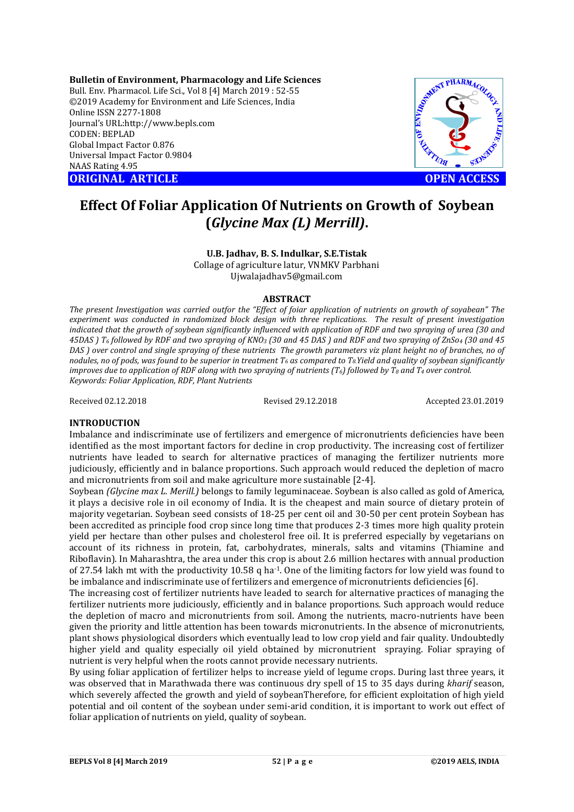**Bulletin of Environment, Pharmacology and Life Sciences** Bull. Env. Pharmacol. Life Sci., Vol 8 [4] March 2019 : 52-55 ©2019 Academy for Environment and Life Sciences, India Online ISSN 2277-1808 Journal's URL:http://www.bepls.com CODEN: BEPLAD Global Impact Factor 0.876 Universal Impact Factor 0.9804 NAAS Rating 4.95

**ORIGINAL ARTICLE OPEN ACCESS** 



# **Effect Of Foliar Application Of Nutrients on Growth of Soybean (***Glycine Max (L) Merrill)***.**

### **U.B. Jadhav, B. S. Indulkar, S.E.Tistak**

Collage of agriculture latur, VNMKV Parbhani Ujwalajadhav5@gmail.com

### **ABSTRACT**

*The present Investigation was carried outfor the "Effect of foiar application of nutrients on growth of soyabean" The experiment was conducted in randomized block design with three replications. The result of present investigation indicated that the growth of soybean significantly influenced with application of RDF and two spraying of urea (30 and 45DAS ) T6 followed by RDF and two spraying of KNO3 (30 and 45 DAS ) and RDF and two spraying of ZnSo4 (30 and 45 DAS* ) over control and single spraying of these nutrients The growth parameters viz plant height no of branches, no of *nodules, no of pods, was found to be superior in treatment T6 as compared to T8.Yield and quality of soybean significantly improves due to application of RDF along with two spraying of nutrients (T6) followed by T8 and T4 over control. Keywords: Foliar Application, RDF, Plant Nutrients*

Received 02.12.2018 Revised 29.12.2018 Accepted 23.01.2019

### **INTRODUCTION**

Imbalance and indiscriminate use of fertilizers and emergence of micronutrients deficiencies have been identified as the most important factors for decline in crop productivity. The increasing cost of fertilizer nutrients have leaded to search for alternative practices of managing the fertilizer nutrients more judiciously, efficiently and in balance proportions. Such approach would reduced the depletion of macro and micronutrients from soil and make agriculture more sustainable [2-4].

Soybean *(Glycine max L. Merill.)* belongs to family leguminaceae. Soybean is also called as gold of America, it plays a decisive role in oil economy of India. It is the cheapest and main source of dietary protein of majority vegetarian. Soybean seed consists of 18-25 per cent oil and 30-50 per cent protein Soybean has been accredited as principle food crop since long time that produces 2-3 times more high quality protein yield per hectare than other pulses and cholesterol free oil. It is preferred especially by vegetarians on account of its richness in protein, fat, carbohydrates, minerals, salts and vitamins (Thiamine and Riboflavin). In Maharashtra, the area under this crop is about 2.6 million hectares with annual production of 27.54 lakh mt with the productivity 10.58 q ha-1. One of the limiting factors for low yield was found to be imbalance and indiscriminate use of fertilizers and emergence of micronutrients deficiencies [6].

The increasing cost of fertilizer nutrients have leaded to search for alternative practices of managing the fertilizer nutrients more judiciously, efficiently and in balance proportions. Such approach would reduce the depletion of macro and micronutrients from soil. Among the nutrients, macro-nutrients have been given the priority and little attention has been towards micronutrients. In the absence of micronutrients, plant shows physiological disorders which eventually lead to low crop yield and fair quality. Undoubtedly higher yield and quality especially oil yield obtained by micronutrient spraying. Foliar spraying of nutrient is very helpful when the roots cannot provide necessary nutrients.

By using foliar application of fertilizer helps to increase yield of legume crops. During last three years, it was observed that in Marathwada there was continuous dry spell of 15 to 35 days during *kharif* season, which severely affected the growth and yield of soybeanTherefore, for efficient exploitation of high yield potential and oil content of the soybean under semi-arid condition, it is important to work out effect of foliar application of nutrients on yield, quality of soybean.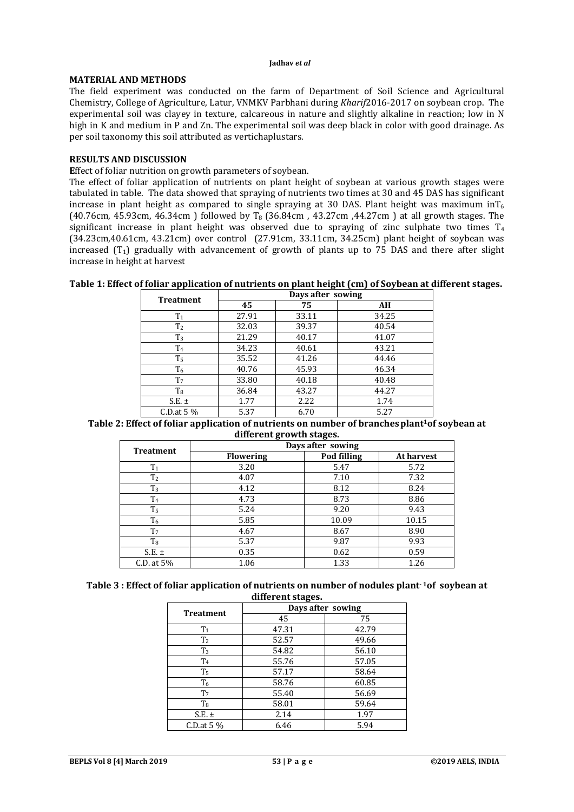#### **Jadhav** *et al*

### **MATERIAL AND METHODS**

The field experiment was conducted on the farm of Department of Soil Science and Agricultural Chemistry, College of Agriculture, Latur, VNMKV Parbhani during *Kharif*2016-2017 on soybean crop. The experimental soil was clayey in texture, calcareous in nature and slightly alkaline in reaction; low in N high in K and medium in P and Zn. The experimental soil was deep black in color with good drainage. As per soil taxonomy this soil attributed as vertichaplustars.

### **RESULTS AND DISCUSSION**

**E**ffect of foliar nutrition on growth parameters of soybean.

The effect of foliar application of nutrients on plant height of soybean at various growth stages were tabulated in table. The data showed that spraying of nutrients two times at 30 and 45 DAS has significant increase in plant height as compared to single spraying at 30 DAS. Plant height was maximum inT<sub>6</sub> (40.76cm, 45.93cm, 46.34cm) followed by  $T_8$  (36.84cm, 43.27cm, 44.27cm) at all growth stages. The significant increase in plant height was observed due to spraying of zinc sulphate two times  $T_4$ (34.23cm,40.61cm, 43.21cm) over control (27.91cm, 33.11cm, 34.25cm) plant height of soybean was increased  $(T_1)$  gradually with advancement of growth of plants up to 75 DAS and there after slight increase in height at harvest

|  |  | Table 1: Effect of foliar application of nutrients on plant height (cm) of Soybean at different stages. |
|--|--|---------------------------------------------------------------------------------------------------------|
|  |  |                                                                                                         |

| <b>Treatment</b> | Days after sowing |       |       |  |
|------------------|-------------------|-------|-------|--|
|                  | 45                | 75    | AH    |  |
| T <sub>1</sub>   | 27.91             | 33.11 | 34.25 |  |
| T <sub>2</sub>   | 32.03             | 39.37 | 40.54 |  |
| $T_3$            | 21.29             | 40.17 | 41.07 |  |
| T <sub>4</sub>   | 34.23             | 40.61 | 43.21 |  |
| T <sub>5</sub>   | 35.52             | 41.26 | 44.46 |  |
| T <sub>6</sub>   | 40.76             | 45.93 | 46.34 |  |
| T <sub>7</sub>   | 33.80             | 40.18 | 40.48 |  |
| T <sub>8</sub>   | 36.84             | 43.27 | 44.27 |  |
| $S.E. \pm$       | 1.77              | 2.22  | 1.74  |  |
| $C.D.at 5\%$     | 5.37              | 6.70  | 5.27  |  |

Table 2: Effect of foliar application of nutrients on number of branches plant<sup>1</sup> of soybean at **different growth stages.**

| <b>Treatment</b> | Days after sowing |             |            |  |
|------------------|-------------------|-------------|------------|--|
|                  | <b>Flowering</b>  | Pod filling | At harvest |  |
| T <sub>1</sub>   | 3.20              | 5.47        | 5.72       |  |
| T <sub>2</sub>   | 4.07              | 7.10        | 7.32       |  |
| T <sub>3</sub>   | 4.12              | 8.12        | 8.24       |  |
| T <sub>4</sub>   | 4.73              | 8.73        | 8.86       |  |
| T <sub>5</sub>   | 5.24              | 9.20        | 9.43       |  |
| $T_6$            | 5.85              | 10.09       | 10.15      |  |
| T <sub>7</sub>   | 4.67              | 8.67        | 8.90       |  |
| $\rm T_{8}$      | 5.37              | 9.87        | 9.93       |  |
| $S.E. \pm$       | 0.35              | 0.62        | 0.59       |  |
| C.D. at $5\%$    | 1.06              | 1.33        | 1.26       |  |

| Table 3 : Effect of foliar application of nutrients on number of nodules plant <sup>1</sup> of soybean at |
|-----------------------------------------------------------------------------------------------------------|
| different stages.                                                                                         |

| umor em ocupooi  |                   |       |  |  |
|------------------|-------------------|-------|--|--|
|                  | Days after sowing |       |  |  |
| <b>Treatment</b> | 45                | 75    |  |  |
| T <sub>1</sub>   | 47.31             | 42.79 |  |  |
| T <sub>2</sub>   | 52.57             | 49.66 |  |  |
| $T_3$            | 54.82             | 56.10 |  |  |
| T <sub>4</sub>   | 55.76             | 57.05 |  |  |
| T <sub>5</sub>   | 57.17             | 58.64 |  |  |
| T <sub>6</sub>   | 58.76             | 60.85 |  |  |
| T <sub>7</sub>   | 55.40             | 56.69 |  |  |
| T <sub>8</sub>   | 58.01             | 59.64 |  |  |
| $S.E. \pm$       | 2.14              | 1.97  |  |  |
| $C.D.at 5\%$     | 6.46              | 5.94  |  |  |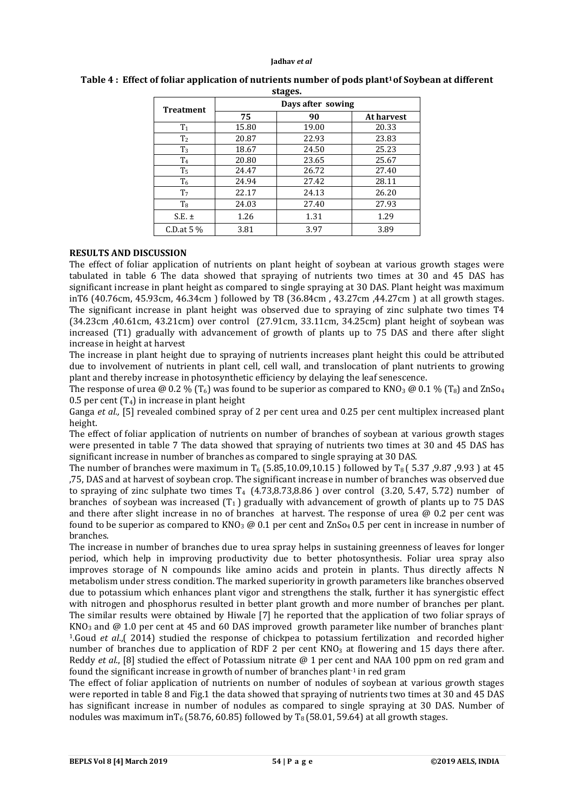#### **Jadhav** *et al*

| зіадсэ.          |                   |       |            |  |
|------------------|-------------------|-------|------------|--|
| <b>Treatment</b> | Days after sowing |       |            |  |
|                  | 75                | 90    | At harvest |  |
| T <sub>1</sub>   | 15.80             | 19.00 | 20.33      |  |
| T <sub>2</sub>   | 20.87             | 22.93 | 23.83      |  |
| T <sub>3</sub>   | 18.67             | 24.50 | 25.23      |  |
| T <sub>4</sub>   | 20.80             | 23.65 | 25.67      |  |
| T <sub>5</sub>   | 24.47             | 26.72 | 27.40      |  |
| T <sub>6</sub>   | 24.94             | 27.42 | 28.11      |  |
| T <sub>7</sub>   | 22.17             | 24.13 | 26.20      |  |
| T <sub>8</sub>   | 24.03             | 27.40 | 27.93      |  |
| $S.E. \pm$       | 1.26              | 1.31  | 1.29       |  |
| C.D.at $5\%$     | 3.81              | 3.97  | 3.89       |  |

#### Table 4: Effect of foliar application of nutrients number of pods plant<sup>1</sup> of Soybean at different **stages.**

## **RESULTS AND DISCUSSION**

The effect of foliar application of nutrients on plant height of soybean at various growth stages were tabulated in table 6 The data showed that spraying of nutrients two times at 30 and 45 DAS has significant increase in plant height as compared to single spraying at 30 DAS. Plant height was maximum inT6 (40.76cm, 45.93cm, 46.34cm ) followed by T8 (36.84cm , 43.27cm ,44.27cm ) at all growth stages. The significant increase in plant height was observed due to spraying of zinc sulphate two times T4 (34.23cm ,40.61cm, 43.21cm) over control (27.91cm, 33.11cm, 34.25cm) plant height of soybean was increased (T1) gradually with advancement of growth of plants up to 75 DAS and there after slight increase in height at harvest

The increase in plant height due to spraying of nutrients increases plant height this could be attributed due to involvement of nutrients in plant cell, cell wall, and translocation of plant nutrients to growing plant and thereby increase in photosynthetic efficiency by delaying the leaf senescence.

The response of urea @ 0.2 % (T<sub>6</sub>) was found to be superior as compared to KNO<sub>3</sub> @ 0.1 % (T<sub>8</sub>) and ZnS<sub>O4</sub> 0.5 per cent  $(T_4)$  in increase in plant height

Ganga *et al.*, [5] revealed combined spray of 2 per cent urea and 0.25 per cent multiplex increased plant height.

The effect of foliar application of nutrients on number of branches of soybean at various growth stages were presented in table 7 The data showed that spraying of nutrients two times at 30 and 45 DAS has significant increase in number of branches as compared to single spraying at 30 DAS.

The number of branches were maximum in  $T_6$  (5.85,10.09,10.15 ) followed by  $T_8$  (5.37,9.87,9.93) at 45 ,75, DAS and at harvest of soybean crop. The significant increase in number of branches was observed due to spraying of zinc sulphate two times  $T_4$  (4.73,8.73,8.86) over control (3.20, 5.47, 5.72) number of branches of soybean was increased  $(T_1)$  gradually with advancement of growth of plants up to 75 DAS and there after slight increase in no of branches at harvest. The response of urea  $\omega$  0.2 per cent was found to be superior as compared to  $KNO_3 \omega 0.1$  per cent and  $ZnSo_4 0.5$  per cent in increase in number of branches.

The increase in number of branches due to urea spray helps in sustaining greenness of leaves for longer period, which help in improving productivity due to better photosynthesis. Foliar urea spray also improves storage of N compounds like amino acids and protein in plants. Thus directly affects N metabolism under stress condition. The marked superiority in growth parameters like branches observed due to potassium which enhances plant vigor and strengthens the stalk, further it has synergistic effect with nitrogen and phosphorus resulted in better plant growth and more number of branches per plant. The similar results were obtained by Hiwale [7] he reported that the application of two foliar sprays of  $KNO<sub>3</sub>$  and @ 1.0 per cent at 45 and 60 DAS improved growth parameter like number of branches plant-1.Goud *et al*.,( 2014) studied the response of chickpea to potassium fertilization and recorded higher number of branches due to application of RDF 2 per cent  $KNO<sub>3</sub>$  at flowering and 15 days there after. Reddy *et al*., [8] studied the effect of Potassium nitrate @ 1 per cent and NAA 100 ppm on red gram and found the significant increase in growth of number of branches plant<sup>-1</sup> in red gram

The effect of foliar application of nutrients on number of nodules of soybean at various growth stages were reported in table 8 and Fig.1 the data showed that spraying of nutrients two times at 30 and 45 DAS has significant increase in number of nodules as compared to single spraying at 30 DAS. Number of nodules was maximum inT<sub>6</sub> (58.76, 60.85) followed by T<sub>8</sub> (58.01, 59.64) at all growth stages.